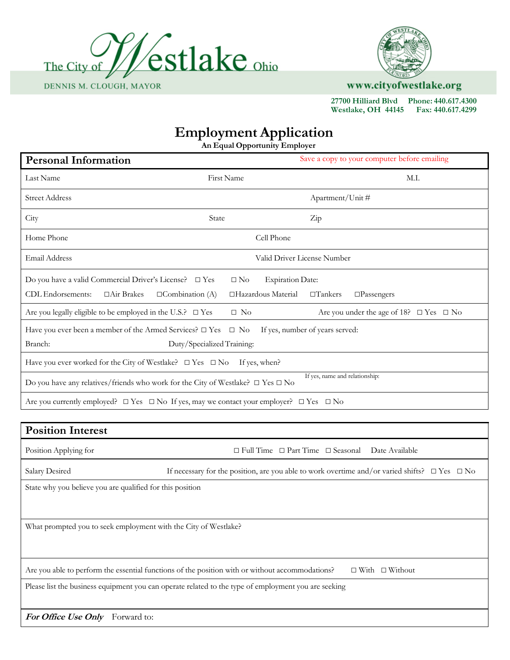



www.cityofwestlake.org

 **27700 Hilliard Blvd Phone: 440.617.4300 Westlake, OH 44145 Fax: 440.617.4299**

## **Employment Application**

**An Equal Opportunity Employer**

| <b>Personal Information</b>                                                                                                                                  |                                                                | Save a copy to your computer before emailing                                                            |  |  |
|--------------------------------------------------------------------------------------------------------------------------------------------------------------|----------------------------------------------------------------|---------------------------------------------------------------------------------------------------------|--|--|
| Last Name                                                                                                                                                    | First Name                                                     | M.I.                                                                                                    |  |  |
| <b>Street Address</b>                                                                                                                                        |                                                                | Apartment/Unit#                                                                                         |  |  |
| City                                                                                                                                                         | State                                                          | Zip                                                                                                     |  |  |
| Home Phone                                                                                                                                                   | Cell Phone                                                     |                                                                                                         |  |  |
| Email Address                                                                                                                                                |                                                                | Valid Driver License Number                                                                             |  |  |
| Do you have a valid Commercial Driver's License? $\square$ Yes<br>CDL Endorsements:<br>□Air Brakes<br>$\Box$ Combination (A)                                 | $\square$ No<br><b>Expiration Date:</b><br>□Hazardous Material | $\Box$ Tankers<br>$\Box$ Passengers                                                                     |  |  |
| Are you legally eligible to be employed in the U.S.? $\Box$ Yes                                                                                              | $\Box$ No                                                      | Are you under the age of 18? $\Box$ Yes $\Box$ No                                                       |  |  |
| If yes, number of years served:<br>Have you ever been a member of the Armed Services? $\square$ Yes<br>$\square$ No<br>Branch:<br>Duty/Specialized Training: |                                                                |                                                                                                         |  |  |
| Have you ever worked for the City of Westlake? $\square$ Yes $\square$ No<br>If yes, when?                                                                   |                                                                |                                                                                                         |  |  |
| Do you have any relatives/friends who work for the City of Westlake? $\square$ Yes $\square$ No                                                              |                                                                | If yes, name and relationship:                                                                          |  |  |
| Are you currently employed? $\Box$ Yes $\Box$ No If yes, may we contact your employer? $\Box$ Yes $\Box$ No                                                  |                                                                |                                                                                                         |  |  |
|                                                                                                                                                              |                                                                |                                                                                                         |  |  |
| <b>Position Interest</b>                                                                                                                                     |                                                                |                                                                                                         |  |  |
| Position Applying for                                                                                                                                        |                                                                | $\Box$ Full Time $\Box$ Part Time $\Box$ Seasonal<br>Date Available                                     |  |  |
| Salary Desired                                                                                                                                               |                                                                | If necessary for the position, are you able to work overtime and/or varied shifts? $\Box$ Yes $\Box$ No |  |  |
| State why you believe you are qualified for this position                                                                                                    |                                                                |                                                                                                         |  |  |
| What prompted you to seek employment with the City of Westlake?                                                                                              |                                                                |                                                                                                         |  |  |
| Are you able to perform the essential functions of the position with or without accommodations?<br>$\Box$ With $\Box$ Without                                |                                                                |                                                                                                         |  |  |
| Please list the business equipment you can operate related to the type of employment you are seeking                                                         |                                                                |                                                                                                         |  |  |
| For Office Use Only Forward to:                                                                                                                              |                                                                |                                                                                                         |  |  |